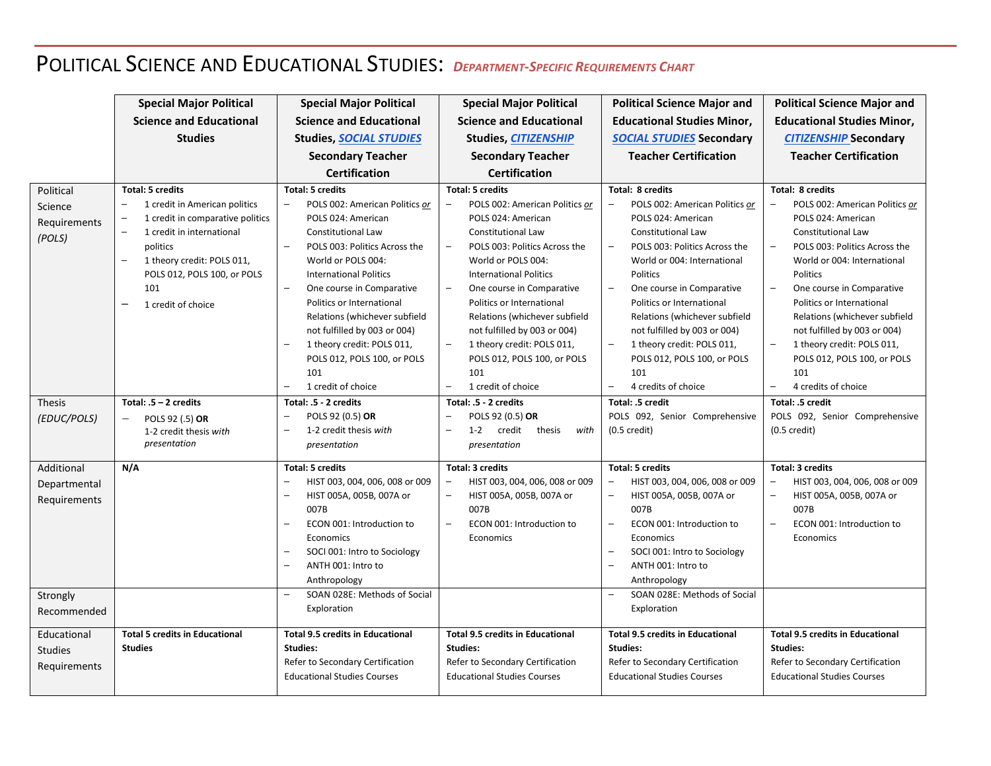## POLITICAL SCIENCE AND EDUCATIONAL STUDIES: *<sup>D</sup>EPARTMENT-SPECIFIC REQUIREMENTS CHART*

|                                                | <b>Special Major Political</b>                                                                                                                                                                                                                                                                                                           | <b>Special Major Political</b>                                                                                                                                                                                                                                                                                                                                                                                            | <b>Special Major Political</b>                                                                                                                                                                                                                                                                                                                                                                                                                                                                                                            | <b>Political Science Major and</b>                                                                                                                                                                                                                                                                                                                                                                                                                                                                        | <b>Political Science Major and</b>                                                                                                                                                                                                                                                                                                                                                                                                                                                                 |
|------------------------------------------------|------------------------------------------------------------------------------------------------------------------------------------------------------------------------------------------------------------------------------------------------------------------------------------------------------------------------------------------|---------------------------------------------------------------------------------------------------------------------------------------------------------------------------------------------------------------------------------------------------------------------------------------------------------------------------------------------------------------------------------------------------------------------------|-------------------------------------------------------------------------------------------------------------------------------------------------------------------------------------------------------------------------------------------------------------------------------------------------------------------------------------------------------------------------------------------------------------------------------------------------------------------------------------------------------------------------------------------|-----------------------------------------------------------------------------------------------------------------------------------------------------------------------------------------------------------------------------------------------------------------------------------------------------------------------------------------------------------------------------------------------------------------------------------------------------------------------------------------------------------|----------------------------------------------------------------------------------------------------------------------------------------------------------------------------------------------------------------------------------------------------------------------------------------------------------------------------------------------------------------------------------------------------------------------------------------------------------------------------------------------------|
|                                                | <b>Science and Educational</b>                                                                                                                                                                                                                                                                                                           | <b>Science and Educational</b>                                                                                                                                                                                                                                                                                                                                                                                            | <b>Science and Educational</b>                                                                                                                                                                                                                                                                                                                                                                                                                                                                                                            | <b>Educational Studies Minor,</b>                                                                                                                                                                                                                                                                                                                                                                                                                                                                         | <b>Educational Studies Minor,</b>                                                                                                                                                                                                                                                                                                                                                                                                                                                                  |
|                                                | <b>Studies</b>                                                                                                                                                                                                                                                                                                                           | <b>Studies, SOCIAL STUDIES</b>                                                                                                                                                                                                                                                                                                                                                                                            | Studies, CITIZENSHIP                                                                                                                                                                                                                                                                                                                                                                                                                                                                                                                      | <b>SOCIAL STUDIES</b> Secondary                                                                                                                                                                                                                                                                                                                                                                                                                                                                           | <b>CITIZENSHIP Secondary</b>                                                                                                                                                                                                                                                                                                                                                                                                                                                                       |
|                                                |                                                                                                                                                                                                                                                                                                                                          | <b>Secondary Teacher</b>                                                                                                                                                                                                                                                                                                                                                                                                  | <b>Secondary Teacher</b>                                                                                                                                                                                                                                                                                                                                                                                                                                                                                                                  | <b>Teacher Certification</b>                                                                                                                                                                                                                                                                                                                                                                                                                                                                              | <b>Teacher Certification</b>                                                                                                                                                                                                                                                                                                                                                                                                                                                                       |
|                                                |                                                                                                                                                                                                                                                                                                                                          | <b>Certification</b>                                                                                                                                                                                                                                                                                                                                                                                                      | <b>Certification</b>                                                                                                                                                                                                                                                                                                                                                                                                                                                                                                                      |                                                                                                                                                                                                                                                                                                                                                                                                                                                                                                           |                                                                                                                                                                                                                                                                                                                                                                                                                                                                                                    |
| Political<br>Science<br>Requirements<br>(POLS) | <b>Total: 5 credits</b><br>1 credit in American politics<br>1 credit in comparative politics<br>$\overline{\phantom{0}}$<br>1 credit in international<br>$\qquad \qquad -$<br>politics<br>1 theory credit: POLS 011,<br>$\overline{\phantom{a}}$<br>POLS 012, POLS 100, or POLS<br>101<br>$\overline{\phantom{0}}$<br>1 credit of choice | <b>Total: 5 credits</b><br>POLS 002: American Politics or<br>POLS 024: American<br><b>Constitutional Law</b><br>POLS 003: Politics Across the<br>World or POLS 004:<br><b>International Politics</b><br>One course in Comparative<br>Politics or International<br>Relations (whichever subfield<br>not fulfilled by 003 or 004)<br>1 theory credit: POLS 011,<br>POLS 012, POLS 100, or POLS<br>101<br>1 credit of choice | <b>Total: 5 credits</b><br>POLS 002: American Politics or<br>POLS 024: American<br><b>Constitutional Law</b><br>POLS 003: Politics Across the<br>$\overline{\phantom{m}}$<br>World or POLS 004:<br><b>International Politics</b><br>$\overline{\phantom{m}}$<br>One course in Comparative<br>Politics or International<br>Relations (whichever subfield<br>not fulfilled by 003 or 004)<br>$\overline{\phantom{a}}$<br>1 theory credit: POLS 011,<br>POLS 012, POLS 100, or POLS<br>101<br>1 credit of choice<br>$\overline{\phantom{m}}$ | Total: 8 credits<br>POLS 002: American Politics or<br>POLS 024: American<br>Constitutional Law<br>POLS 003: Politics Across the<br>$\qquad \qquad -$<br>World or 004: International<br>Politics<br>$\overline{\phantom{m}}$<br>One course in Comparative<br>Politics or International<br>Relations (whichever subfield<br>not fulfilled by 003 or 004)<br>$\overline{\phantom{a}}$<br>1 theory credit: POLS 011,<br>POLS 012, POLS 100, or POLS<br>101<br>4 credits of choice<br>$\overline{\phantom{0}}$ | Total: 8 credits<br>POLS 002: American Politics or<br>POLS 024: American<br><b>Constitutional Law</b><br>POLS 003: Politics Across the<br>$\qquad \qquad -$<br>World or 004: International<br>Politics<br>One course in Comparative<br>$\qquad \qquad -$<br>Politics or International<br>Relations (whichever subfield<br>not fulfilled by 003 or 004)<br>$\overline{\phantom{0}}$<br>1 theory credit: POLS 011,<br>POLS 012, POLS 100, or POLS<br>101<br>4 credits of choice<br>$\qquad \qquad -$ |
| <b>Thesis</b>                                  | Total: $.5 - 2$ credits                                                                                                                                                                                                                                                                                                                  | Total: .5 - 2 credits                                                                                                                                                                                                                                                                                                                                                                                                     | Total: .5 - 2 credits                                                                                                                                                                                                                                                                                                                                                                                                                                                                                                                     | Total: .5 credit                                                                                                                                                                                                                                                                                                                                                                                                                                                                                          |                                                                                                                                                                                                                                                                                                                                                                                                                                                                                                    |
|                                                |                                                                                                                                                                                                                                                                                                                                          |                                                                                                                                                                                                                                                                                                                                                                                                                           |                                                                                                                                                                                                                                                                                                                                                                                                                                                                                                                                           |                                                                                                                                                                                                                                                                                                                                                                                                                                                                                                           | Total: .5 credit                                                                                                                                                                                                                                                                                                                                                                                                                                                                                   |
| (EDUC/POLS)                                    | POLS 92 (.5) OR<br>$\overline{\phantom{m}}$                                                                                                                                                                                                                                                                                              | POLS 92 (0.5) OR                                                                                                                                                                                                                                                                                                                                                                                                          | POLS 92 (0.5) OR                                                                                                                                                                                                                                                                                                                                                                                                                                                                                                                          | POLS 092, Senior Comprehensive                                                                                                                                                                                                                                                                                                                                                                                                                                                                            | POLS 092, Senior Comprehensive                                                                                                                                                                                                                                                                                                                                                                                                                                                                     |
|                                                | 1-2 credit thesis with<br>presentation                                                                                                                                                                                                                                                                                                   | 1-2 credit thesis with<br>presentation                                                                                                                                                                                                                                                                                                                                                                                    | $1 - 2$<br>credit<br>thesis<br>$\overline{\phantom{m}}$<br>with<br>presentation                                                                                                                                                                                                                                                                                                                                                                                                                                                           | $(0.5 \text{ credit})$                                                                                                                                                                                                                                                                                                                                                                                                                                                                                    | $(0.5 \text{ credit})$                                                                                                                                                                                                                                                                                                                                                                                                                                                                             |
|                                                |                                                                                                                                                                                                                                                                                                                                          |                                                                                                                                                                                                                                                                                                                                                                                                                           |                                                                                                                                                                                                                                                                                                                                                                                                                                                                                                                                           |                                                                                                                                                                                                                                                                                                                                                                                                                                                                                                           |                                                                                                                                                                                                                                                                                                                                                                                                                                                                                                    |
| Additional                                     | N/A                                                                                                                                                                                                                                                                                                                                      | <b>Total: 5 credits</b>                                                                                                                                                                                                                                                                                                                                                                                                   | <b>Total: 3 credits</b>                                                                                                                                                                                                                                                                                                                                                                                                                                                                                                                   | <b>Total: 5 credits</b>                                                                                                                                                                                                                                                                                                                                                                                                                                                                                   | <b>Total: 3 credits</b>                                                                                                                                                                                                                                                                                                                                                                                                                                                                            |
| Departmental                                   |                                                                                                                                                                                                                                                                                                                                          | HIST 003, 004, 006, 008 or 009                                                                                                                                                                                                                                                                                                                                                                                            | HIST 003, 004, 006, 008 or 009<br>$\overline{\phantom{m}}$                                                                                                                                                                                                                                                                                                                                                                                                                                                                                | $\overline{\phantom{m}}$<br>HIST 003, 004, 006, 008 or 009                                                                                                                                                                                                                                                                                                                                                                                                                                                | HIST 003, 004, 006, 008 or 009                                                                                                                                                                                                                                                                                                                                                                                                                                                                     |
| Requirements                                   |                                                                                                                                                                                                                                                                                                                                          | HIST 005A, 005B, 007A or<br>007B                                                                                                                                                                                                                                                                                                                                                                                          | HIST 005A, 005B, 007A or<br>007B                                                                                                                                                                                                                                                                                                                                                                                                                                                                                                          | HIST 005A, 005B, 007A or<br>$\qquad \qquad -$<br>007B                                                                                                                                                                                                                                                                                                                                                                                                                                                     | $\qquad \qquad -$<br>HIST 005A, 005B, 007A or<br>007B                                                                                                                                                                                                                                                                                                                                                                                                                                              |
|                                                |                                                                                                                                                                                                                                                                                                                                          | ECON 001: Introduction to<br>$\overline{\phantom{0}}$                                                                                                                                                                                                                                                                                                                                                                     | ECON 001: Introduction to<br>$\overline{\phantom{m}}$                                                                                                                                                                                                                                                                                                                                                                                                                                                                                     | ECON 001: Introduction to<br>$\overline{\phantom{a}}$                                                                                                                                                                                                                                                                                                                                                                                                                                                     | ECON 001: Introduction to<br>$\overline{\phantom{0}}$                                                                                                                                                                                                                                                                                                                                                                                                                                              |
|                                                |                                                                                                                                                                                                                                                                                                                                          | Economics                                                                                                                                                                                                                                                                                                                                                                                                                 | Economics                                                                                                                                                                                                                                                                                                                                                                                                                                                                                                                                 | Economics                                                                                                                                                                                                                                                                                                                                                                                                                                                                                                 | Economics                                                                                                                                                                                                                                                                                                                                                                                                                                                                                          |
|                                                |                                                                                                                                                                                                                                                                                                                                          | SOCI 001: Intro to Sociology                                                                                                                                                                                                                                                                                                                                                                                              |                                                                                                                                                                                                                                                                                                                                                                                                                                                                                                                                           | SOCI 001: Intro to Sociology<br>$\qquad \qquad -$                                                                                                                                                                                                                                                                                                                                                                                                                                                         |                                                                                                                                                                                                                                                                                                                                                                                                                                                                                                    |
|                                                |                                                                                                                                                                                                                                                                                                                                          | ANTH 001: Intro to                                                                                                                                                                                                                                                                                                                                                                                                        |                                                                                                                                                                                                                                                                                                                                                                                                                                                                                                                                           | ANTH 001: Intro to<br>$\overline{\phantom{0}}$                                                                                                                                                                                                                                                                                                                                                                                                                                                            |                                                                                                                                                                                                                                                                                                                                                                                                                                                                                                    |
|                                                |                                                                                                                                                                                                                                                                                                                                          | Anthropology                                                                                                                                                                                                                                                                                                                                                                                                              |                                                                                                                                                                                                                                                                                                                                                                                                                                                                                                                                           | Anthropology                                                                                                                                                                                                                                                                                                                                                                                                                                                                                              |                                                                                                                                                                                                                                                                                                                                                                                                                                                                                                    |
| Strongly                                       |                                                                                                                                                                                                                                                                                                                                          | SOAN 028E: Methods of Social                                                                                                                                                                                                                                                                                                                                                                                              |                                                                                                                                                                                                                                                                                                                                                                                                                                                                                                                                           | SOAN 028E: Methods of Social<br>$\overline{\phantom{0}}$                                                                                                                                                                                                                                                                                                                                                                                                                                                  |                                                                                                                                                                                                                                                                                                                                                                                                                                                                                                    |
| Recommended                                    |                                                                                                                                                                                                                                                                                                                                          | Exploration                                                                                                                                                                                                                                                                                                                                                                                                               |                                                                                                                                                                                                                                                                                                                                                                                                                                                                                                                                           | Exploration                                                                                                                                                                                                                                                                                                                                                                                                                                                                                               |                                                                                                                                                                                                                                                                                                                                                                                                                                                                                                    |
| Educational                                    | <b>Total 5 credits in Educational</b>                                                                                                                                                                                                                                                                                                    | <b>Total 9.5 credits in Educational</b>                                                                                                                                                                                                                                                                                                                                                                                   | <b>Total 9.5 credits in Educational</b>                                                                                                                                                                                                                                                                                                                                                                                                                                                                                                   | <b>Total 9.5 credits in Educational</b>                                                                                                                                                                                                                                                                                                                                                                                                                                                                   | <b>Total 9.5 credits in Educational</b>                                                                                                                                                                                                                                                                                                                                                                                                                                                            |
| <b>Studies</b>                                 | <b>Studies</b>                                                                                                                                                                                                                                                                                                                           | Studies:                                                                                                                                                                                                                                                                                                                                                                                                                  | Studies:                                                                                                                                                                                                                                                                                                                                                                                                                                                                                                                                  | Studies:                                                                                                                                                                                                                                                                                                                                                                                                                                                                                                  | Studies:                                                                                                                                                                                                                                                                                                                                                                                                                                                                                           |
| Requirements                                   |                                                                                                                                                                                                                                                                                                                                          | Refer to Secondary Certification                                                                                                                                                                                                                                                                                                                                                                                          | Refer to Secondary Certification                                                                                                                                                                                                                                                                                                                                                                                                                                                                                                          | Refer to Secondary Certification                                                                                                                                                                                                                                                                                                                                                                                                                                                                          | Refer to Secondary Certification                                                                                                                                                                                                                                                                                                                                                                                                                                                                   |
|                                                |                                                                                                                                                                                                                                                                                                                                          | <b>Educational Studies Courses</b>                                                                                                                                                                                                                                                                                                                                                                                        | <b>Educational Studies Courses</b>                                                                                                                                                                                                                                                                                                                                                                                                                                                                                                        | <b>Educational Studies Courses</b>                                                                                                                                                                                                                                                                                                                                                                                                                                                                        | <b>Educational Studies Courses</b>                                                                                                                                                                                                                                                                                                                                                                                                                                                                 |